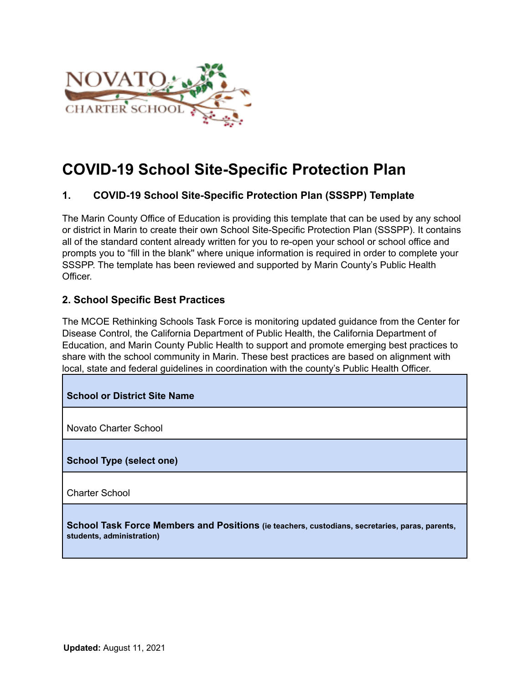

### **COVID-19 School Site-Specific Protection Plan**

#### **1. COVID-19 School Site-Specific Protection Plan (SSSPP) Template**

The Marin County Office of Education is providing this template that can be used by any school or district in Marin to create their own School Site-Specific Protection Plan (SSSPP). It contains all of the standard content already written for you to re-open your school or school office and prompts you to "fill in the blank'' where unique information is required in order to complete your SSSPP. The template has been reviewed and supported by Marin County's Public Health Officer.

#### **2. School Specific Best Practices**

The MCOE Rethinking Schools Task Force is monitoring updated guidance from the Center for Disease Control, the California Department of Public Health, the California Department of Education, and Marin County Public Health to support and promote emerging best practices to share with the school community in Marin. These best practices are based on alignment with local, state and federal guidelines in coordination with the county's Public Health Officer.

#### **School or District Site Name**

Novato Charter School

#### **School Type (select one)**

Charter School

**School Task Force Members and Positions (ie teachers, custodians, secretaries, paras, parents, students, administration)**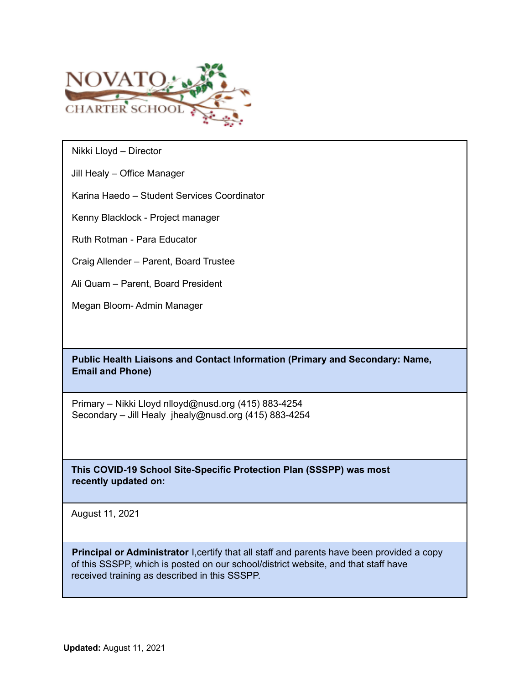

Nikki Lloyd – Director

Jill Healy – Office Manager

Karina Haedo – Student Services Coordinator

Kenny Blacklock - Project manager

Ruth Rotman - Para Educator

Craig Allender – Parent, Board Trustee

Ali Quam – Parent, Board President

Megan Bloom- Admin Manager

**Public Health Liaisons and Contact Information (Primary and Secondary: Name, Email and Phone)**

Primary – Nikki Lloyd nlloyd@nusd.org (415) 883-4254 Secondary – Jill Healy jhealy@nusd.org (415) 883-4254

**This COVID-19 School Site-Specific Protection Plan (SSSPP) was most recently updated on:**

August 11, 2021

**Principal or Administrator** I, certify that all staff and parents have been provided a copy of this SSSPP, which is posted on our school/district website, and that staff have received training as described in this SSSPP.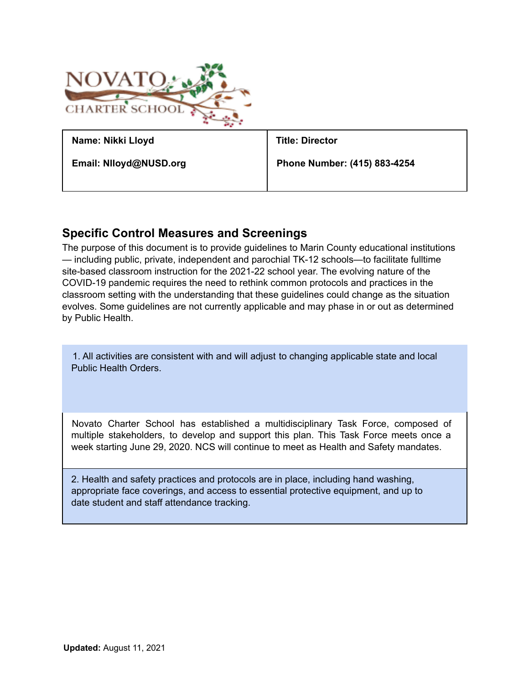

#### **Specific Control Measures and Screenings**

The purpose of this document is to provide guidelines to Marin County educational institutions — including public, private, independent and parochial TK-12 schools—to facilitate fulltime site-based classroom instruction for the 2021-22 school year. The evolving nature of the COVID-19 pandemic requires the need to rethink common protocols and practices in the classroom setting with the understanding that these guidelines could change as the situation evolves. Some guidelines are not currently applicable and may phase in or out as determined by Public Health.

1. All activities are consistent with and will adjust to changing applicable state and local Public Health Orders.

Novato Charter School has established a multidisciplinary Task Force, composed of multiple stakeholders, to develop and support this plan. This Task Force meets once a week starting June 29, 2020. NCS will continue to meet as Health and Safety mandates.

2. Health and safety practices and protocols are in place, including hand washing, appropriate face coverings, and access to essential protective equipment, and up to date student and staff attendance tracking.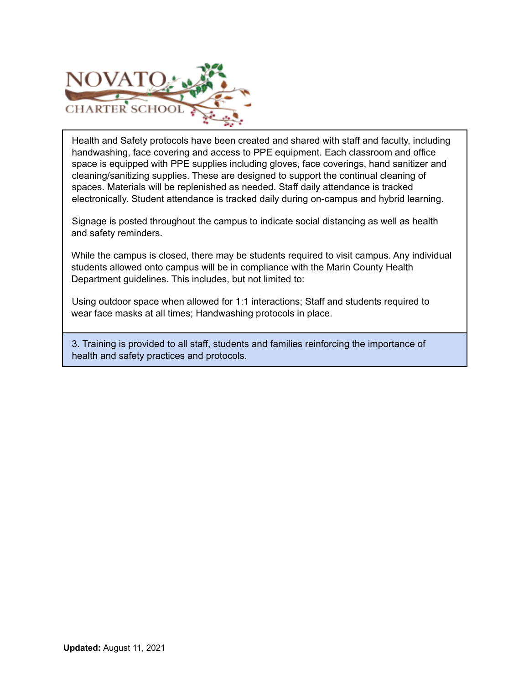

Health and Safety protocols have been created and shared with staff and faculty, including handwashing, face covering and access to PPE equipment. Each classroom and office space is equipped with PPE supplies including gloves, face coverings, hand sanitizer and cleaning/sanitizing supplies. These are designed to support the continual cleaning of spaces. Materials will be replenished as needed. Staff daily attendance is tracked electronically. Student attendance is tracked daily during on-campus and hybrid learning.

Signage is posted throughout the campus to indicate social distancing as well as health and safety reminders.

While the campus is closed, there may be students required to visit campus. Any individual students allowed onto campus will be in compliance with the Marin County Health Department guidelines. This includes, but not limited to:

Using outdoor space when allowed for 1:1 interactions; Staff and students required to wear face masks at all times; Handwashing protocols in place.

3. Training is provided to all staff, students and families reinforcing the importance of health and safety practices and protocols.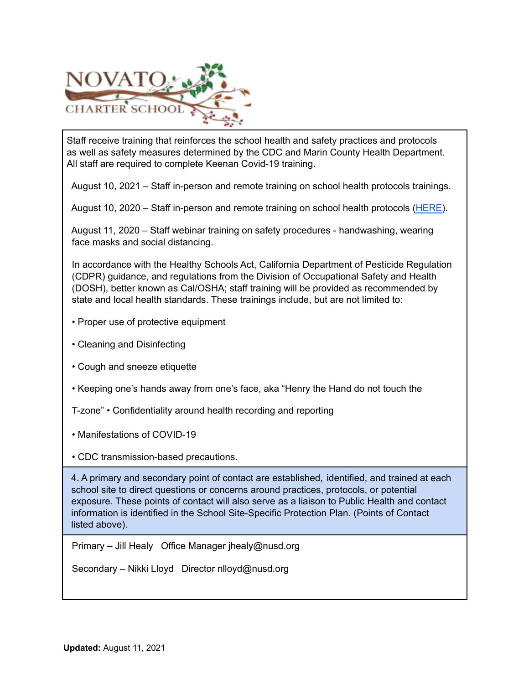

Staff receive training that reinforces the school health and safety practices and protocols as well as safety measures determined by the CDC and Marin County Health Department. All staff are required to complete Keenan Covid-19 training.

August 10, 2021 – Staff in-person and remote training on school health protocols trainings.

August 10, 2020 – Staff in-person and remote training on school health protocols (HERE).

August 11, 2020 – Staff webinar training on safety procedures - handwashing, wearing face masks and social distancing.

In accordance with the Healthy Schools Act, California Department of Pesticide Regulation (CDPR) guidance, and regulations from the Division of Occupational Safety and Health (DOSH), better known as Cal/OSHA; staff training will be provided as recommended by state and local health standards. These trainings include, but are not limited to:

- Proper use of protective equipment
- Cleaning and Disinfecting
- Cough and sneeze etiquette
- Keeping one's hands away from one's face, aka "Henry the Hand do not touch the
- T-zone" Confidentiality around health recording and reporting
- Manifestations of COVID-19

• CDC transmission-based precautions.

4. A primary and secondary point of contact are established, identified, and trained at each school site to direct questions or concerns around practices, protocols, or potential exposure. These points of contact will also serve as a liaison to Public Health and contact information is identified in the School Site-Specific Protection Plan. (Points of Contact listed above).

Primary – Jill Healy Office Manager jhealy@nusd.org

Secondary – Nikki Lloyd Director nlloyd@nusd.org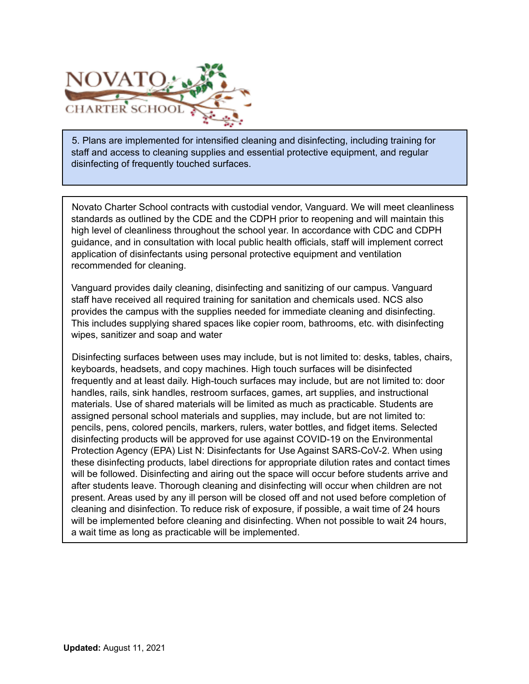

5. Plans are implemented for intensified cleaning and disinfecting, including training for staff and access to cleaning supplies and essential protective equipment, and regular disinfecting of frequently touched surfaces.

Novato Charter School contracts with custodial vendor, Vanguard. We will meet cleanliness standards as outlined by the CDE and the CDPH prior to reopening and will maintain this high level of cleanliness throughout the school year. In accordance with CDC and CDPH guidance, and in consultation with local public health officials, staff will implement correct application of disinfectants using personal protective equipment and ventilation recommended for cleaning.

Vanguard provides daily cleaning, disinfecting and sanitizing of our campus. Vanguard staff have received all required training for sanitation and chemicals used. NCS also provides the campus with the supplies needed for immediate cleaning and disinfecting. This includes supplying shared spaces like copier room, bathrooms, etc. with disinfecting wipes, sanitizer and soap and water

Disinfecting surfaces between uses may include, but is not limited to: desks, tables, chairs, keyboards, headsets, and copy machines. High touch surfaces will be disinfected frequently and at least daily. High-touch surfaces may include, but are not limited to: door handles, rails, sink handles, restroom surfaces, games, art supplies, and instructional materials. Use of shared materials will be limited as much as practicable. Students are assigned personal school materials and supplies, may include, but are not limited to: pencils, pens, colored pencils, markers, rulers, water bottles, and fidget items. Selected disinfecting products will be approved for use against COVID-19 on the Environmental Protection Agency (EPA) List N: Disinfectants for Use Against SARS-CoV-2. When using these disinfecting products, label directions for appropriate dilution rates and contact times will be followed. Disinfecting and airing out the space will occur before students arrive and after students leave. Thorough cleaning and disinfecting will occur when children are not present. Areas used by any ill person will be closed off and not used before completion of cleaning and disinfection. To reduce risk of exposure, if possible, a wait time of 24 hours will be implemented before cleaning and disinfecting. When not possible to wait 24 hours, a wait time as long as practicable will be implemented.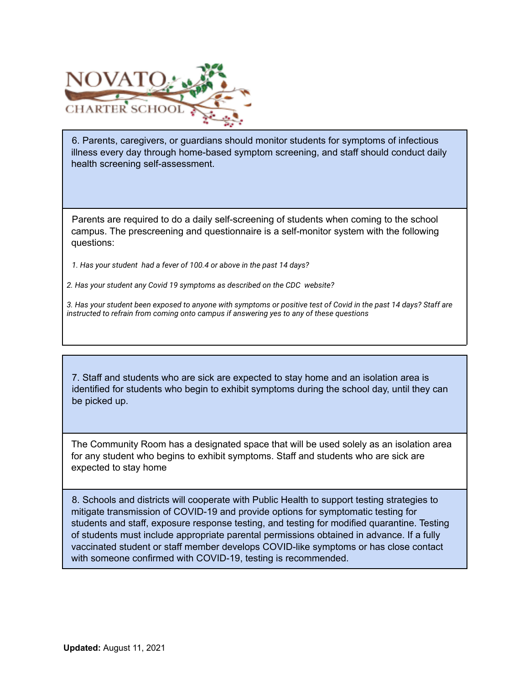

6. Parents, caregivers, or guardians should monitor students for symptoms of infectious illness every day through home-based symptom screening, and staff should conduct daily health screening self-assessment.

Parents are required to do a daily self-screening of students when coming to the school campus. The prescreening and questionnaire is a self-monitor system with the following questions:

*1. Has your student had a fever of 100.4 or above in the past 14 days?*

*2. Has your student any Covid 19 symptoms as described on the CDC website?*

*3. Has your student been exposed to anyone with symptoms or positive test of Covid in the past 14 days? Staff are instructed to refrain from coming onto campus if answering yes to any of these questions*

7. Staff and students who are sick are expected to stay home and an isolation area is identified for students who begin to exhibit symptoms during the school day, until they can be picked up.

The Community Room has a designated space that will be used solely as an isolation area for any student who begins to exhibit symptoms. Staff and students who are sick are expected to stay home

8. Schools and districts will cooperate with Public Health to support testing strategies to mitigate transmission of COVID-19 and provide options for symptomatic testing for students and staff, exposure response testing, and testing for modified quarantine. Testing of students must include appropriate parental permissions obtained in advance. If a fully vaccinated student or staff member develops COVID-like symptoms or has close contact with someone confirmed with COVID-19, testing is recommended.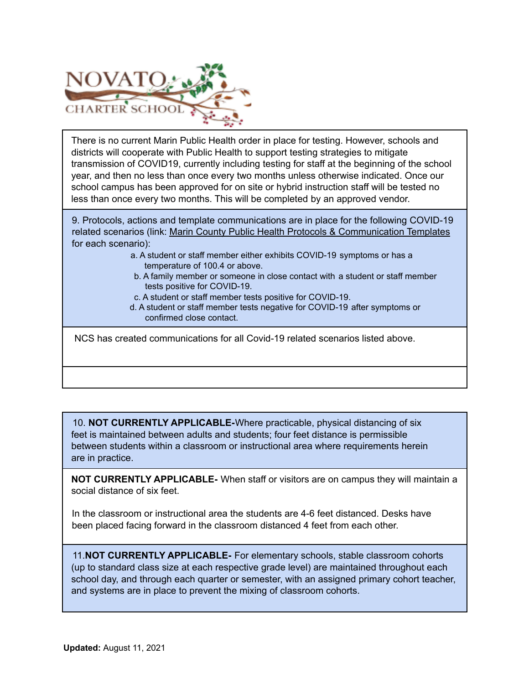

There is no current Marin Public Health order in place for testing. However, schools and districts will cooperate with Public Health to support testing strategies to mitigate transmission of COVID19, currently including testing for staff at the beginning of the school year, and then no less than once every two months unless otherwise indicated. Once our school campus has been approved for on site or hybrid instruction staff will be tested no less than once every two months. This will be completed by an approved vendor.

9. Protocols, actions and template communications are in place for the following COVID-19 related scenarios (link: Marin County Public Health Protocols & Communication Templates for each scenario):

- a. A student or staff member either exhibits COVID-19 symptoms or has a temperature of 100.4 or above.
- b. A family member or someone in close contact with a student or staff member tests positive for COVID-19.
- c. A student or staff member tests positive for COVID-19.
- d. A student or staff member tests negative for COVID-19 after symptoms or confirmed close contact.

NCS has created communications for all Covid-19 related scenarios listed above.

10. **NOT CURRENTLY APPLICABLE-**Where practicable, physical distancing of six feet is maintained between adults and students; four feet distance is permissible between students within a classroom or instructional area where requirements herein are in practice.

**NOT CURRENTLY APPLICABLE-** When staff or visitors are on campus they will maintain a social distance of six feet.

In the classroom or instructional area the students are 4-6 feet distanced. Desks have been placed facing forward in the classroom distanced 4 feet from each other.

11.**NOT CURRENTLY APPLICABLE-** For elementary schools, stable classroom cohorts (up to standard class size at each respective grade level) are maintained throughout each school day, and through each quarter or semester, with an assigned primary cohort teacher, and systems are in place to prevent the mixing of classroom cohorts.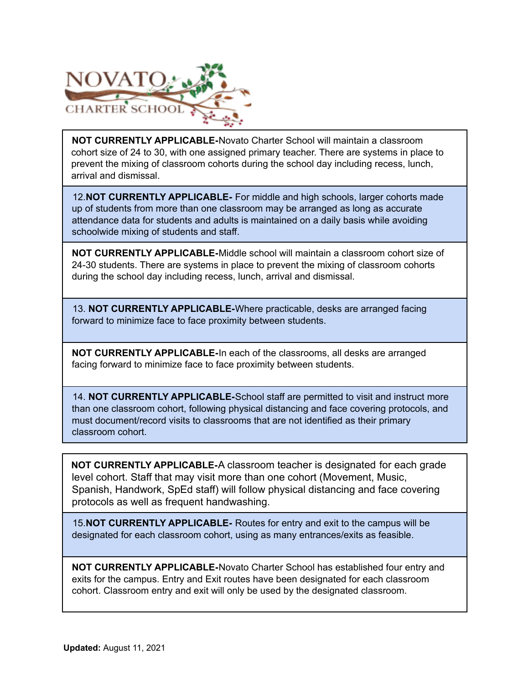

**NOT CURRENTLY APPLICABLE-**Novato Charter School will maintain a classroom cohort size of 24 to 30, with one assigned primary teacher. There are systems in place to prevent the mixing of classroom cohorts during the school day including recess, lunch, arrival and dismissal.

12.**NOT CURRENTLY APPLICABLE-** For middle and high schools, larger cohorts made up of students from more than one classroom may be arranged as long as accurate attendance data for students and adults is maintained on a daily basis while avoiding schoolwide mixing of students and staff.

**NOT CURRENTLY APPLICABLE-**Middle school will maintain a classroom cohort size of 24-30 students. There are systems in place to prevent the mixing of classroom cohorts during the school day including recess, lunch, arrival and dismissal.

13. **NOT CURRENTLY APPLICABLE-**Where practicable, desks are arranged facing forward to minimize face to face proximity between students.

**NOT CURRENTLY APPLICABLE-**In each of the classrooms, all desks are arranged facing forward to minimize face to face proximity between students.

14. **NOT CURRENTLY APPLICABLE-**School staff are permitted to visit and instruct more than one classroom cohort, following physical distancing and face covering protocols, and must document/record visits to classrooms that are not identified as their primary classroom cohort.

**NOT CURRENTLY APPLICABLE-**A classroom teacher is designated for each grade level cohort. Staff that may visit more than one cohort (Movement, Music, Spanish, Handwork, SpEd staff) will follow physical distancing and face covering protocols as well as frequent handwashing.

15.**NOT CURRENTLY APPLICABLE-** Routes for entry and exit to the campus will be designated for each classroom cohort, using as many entrances/exits as feasible.

**NOT CURRENTLY APPLICABLE-**Novato Charter School has established four entry and exits for the campus. Entry and Exit routes have been designated for each classroom cohort. Classroom entry and exit will only be used by the designated classroom.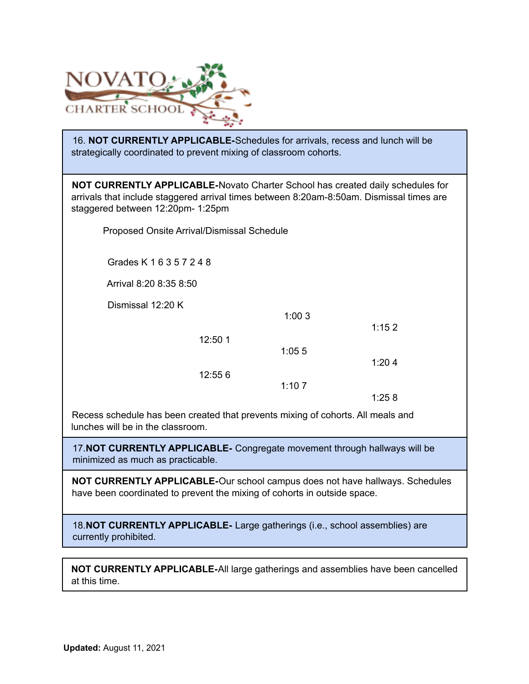

16. **NOT CURRENTLY APPLICABLE-**Schedules for arrivals, recess and lunch will be strategically coordinated to prevent mixing of classroom cohorts.

**NOT CURRENTLY APPLICABLE-**Novato Charter School has created daily schedules for arrivals that include staggered arrival times between 8:20am-8:50am. Dismissal times are staggered between 12:20pm- 1:25pm

Proposed Onsite Arrival/Dismissal Schedule

Grades K 1 6 3 5 7 2 4 8

Arrival 8:20 8:35 8:50

Dismissal 12:20 K

1:15 2 12:50 1 1:05 5 1:20 4 12:55 6 1:10 7 1:25 8

1:00 3

Recess schedule has been created that prevents mixing of cohorts. All meals and lunches will be in the classroom.

17.**NOT CURRENTLY APPLICABLE-** Congregate movement through hallways will be minimized as much as practicable.

**NOT CURRENTLY APPLICABLE-**Our school campus does not have hallways. Schedules have been coordinated to prevent the mixing of cohorts in outside space.

18.**NOT CURRENTLY APPLICABLE-** Large gatherings (i.e., school assemblies) are currently prohibited.

**NOT CURRENTLY APPLICABLE-**All large gatherings and assemblies have been cancelled at this time.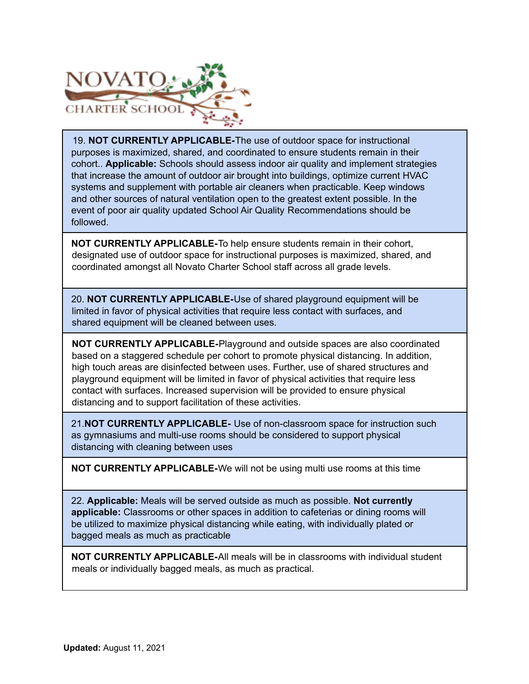

19. **NOT CURRENTLY APPLICABLE-**The use of outdoor space for instructional purposes is maximized, shared, and coordinated to ensure students remain in their cohort.. **Applicable:** Schools should assess indoor air quality and implement strategies that increase the amount of outdoor air brought into buildings, optimize current HVAC systems and supplement with portable air cleaners when practicable. Keep windows and other sources of natural ventilation open to the greatest extent possible. In the event of poor air quality updated School Air Quality Recommendations should be followed.

**NOT CURRENTLY APPLICABLE-**To help ensure students remain in their cohort, designated use of outdoor space for instructional purposes is maximized, shared, and coordinated amongst all Novato Charter School staff across all grade levels.

20. **NOT CURRENTLY APPLICABLE-**Use of shared playground equipment will be limited in favor of physical activities that require less contact with surfaces, and shared equipment will be cleaned between uses.

**NOT CURRENTLY APPLICABLE-**Playground and outside spaces are also coordinated based on a staggered schedule per cohort to promote physical distancing. In addition, high touch areas are disinfected between uses. Further, use of shared structures and playground equipment will be limited in favor of physical activities that require less contact with surfaces. Increased supervision will be provided to ensure physical distancing and to support facilitation of these activities.

21.**NOT CURRENTLY APPLICABLE-** Use of non-classroom space for instruction such as gymnasiums and multi-use rooms should be considered to support physical distancing with cleaning between uses

**NOT CURRENTLY APPLICABLE-**We will not be using multi use rooms at this time

22. **Applicable:** Meals will be served outside as much as possible. **Not currently applicable:** Classrooms or other spaces in addition to cafeterias or dining rooms will be utilized to maximize physical distancing while eating, with individually plated or bagged meals as much as practicable

**NOT CURRENTLY APPLICABLE-**All meals will be in classrooms with individual student meals or individually bagged meals, as much as practical.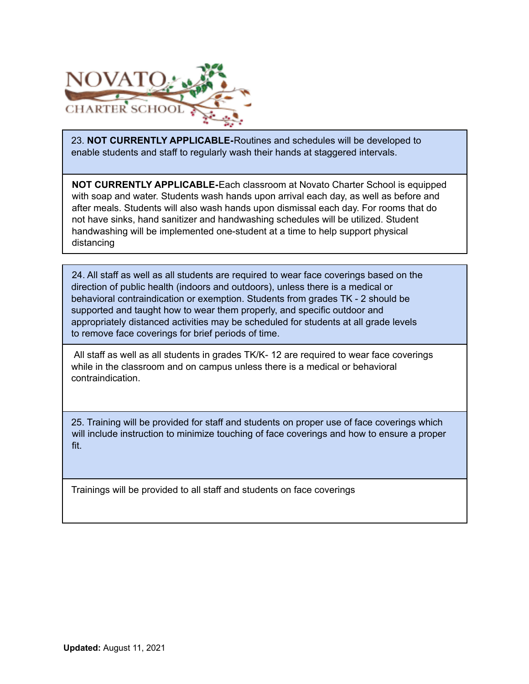

23. **NOT CURRENTLY APPLICABLE-**Routines and schedules will be developed to enable students and staff to regularly wash their hands at staggered intervals.

**NOT CURRENTLY APPLICABLE-**Each classroom at Novato Charter School is equipped with soap and water. Students wash hands upon arrival each day, as well as before and after meals. Students will also wash hands upon dismissal each day. For rooms that do not have sinks, hand sanitizer and handwashing schedules will be utilized. Student handwashing will be implemented one-student at a time to help support physical distancing

24. All staff as well as all students are required to wear face coverings based on the direction of public health (indoors and outdoors), unless there is a medical or behavioral contraindication or exemption. Students from grades TK - 2 should be supported and taught how to wear them properly, and specific outdoor and appropriately distanced activities may be scheduled for students at all grade levels to remove face coverings for brief periods of time.

All staff as well as all students in grades TK/K- 12 are required to wear face coverings while in the classroom and on campus unless there is a medical or behavioral contraindication.

25. Training will be provided for staff and students on proper use of face coverings which will include instruction to minimize touching of face coverings and how to ensure a proper fit.

Trainings will be provided to all staff and students on face coverings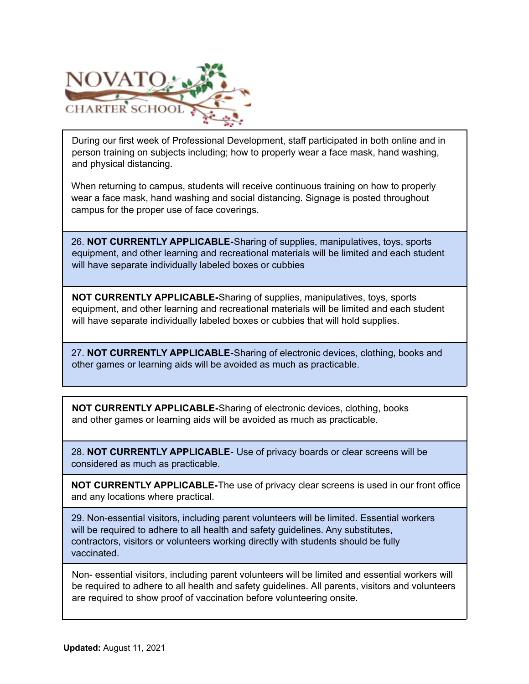

During our first week of Professional Development, staff participated in both online and in person training on subjects including; how to properly wear a face mask, hand washing, and physical distancing.

When returning to campus, students will receive continuous training on how to properly wear a face mask, hand washing and social distancing. Signage is posted throughout campus for the proper use of face coverings.

26. **NOT CURRENTLY APPLICABLE-**Sharing of supplies, manipulatives, toys, sports equipment, and other learning and recreational materials will be limited and each student will have separate individually labeled boxes or cubbies

**NOT CURRENTLY APPLICABLE-**Sharing of supplies, manipulatives, toys, sports equipment, and other learning and recreational materials will be limited and each student will have separate individually labeled boxes or cubbies that will hold supplies.

27. **NOT CURRENTLY APPLICABLE-**Sharing of electronic devices, clothing, books and other games or learning aids will be avoided as much as practicable.

**NOT CURRENTLY APPLICABLE-**Sharing of electronic devices, clothing, books and other games or learning aids will be avoided as much as practicable.

28. **NOT CURRENTLY APPLICABLE-** Use of privacy boards or clear screens will be considered as much as practicable.

**NOT CURRENTLY APPLICABLE-**The use of privacy clear screens is used in our front office and any locations where practical.

29. Non-essential visitors, including parent volunteers will be limited. Essential workers will be required to adhere to all health and safety guidelines. Any substitutes, contractors, visitors or volunteers working directly with students should be fully vaccinated.

Non- essential visitors, including parent volunteers will be limited and essential workers will be required to adhere to all health and safety guidelines. All parents, visitors and volunteers are required to show proof of vaccination before volunteering onsite.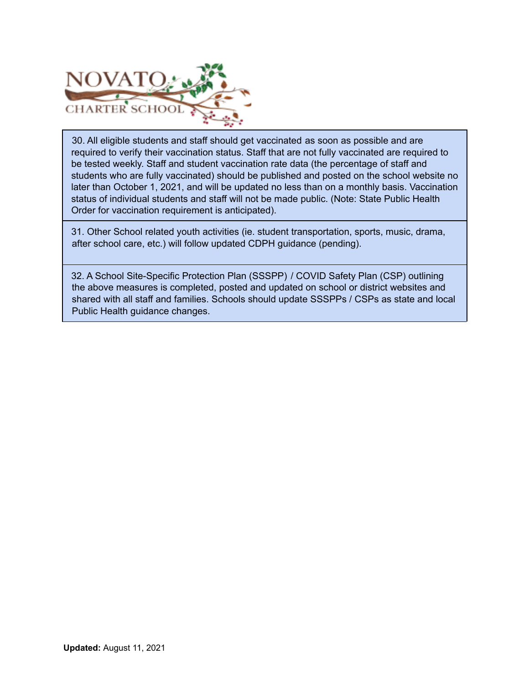

30. All eligible students and staff should get vaccinated as soon as possible and are required to verify their vaccination status. Staff that are not fully vaccinated are required to be tested weekly. Staff and student vaccination rate data (the percentage of staff and students who are fully vaccinated) should be published and posted on the school website no later than October 1, 2021, and will be updated no less than on a monthly basis. Vaccination status of individual students and staff will not be made public. (Note: State Public Health Order for vaccination requirement is anticipated).

31. Other School related youth activities (ie. student transportation, sports, music, drama, after school care, etc.) will follow updated CDPH guidance (pending).

32. A School Site-Specific Protection Plan (SSSPP) / COVID Safety Plan (CSP) outlining the above measures is completed, posted and updated on school or district websites and shared with all staff and families. Schools should update SSSPPs / CSPs as state and local Public Health guidance changes.